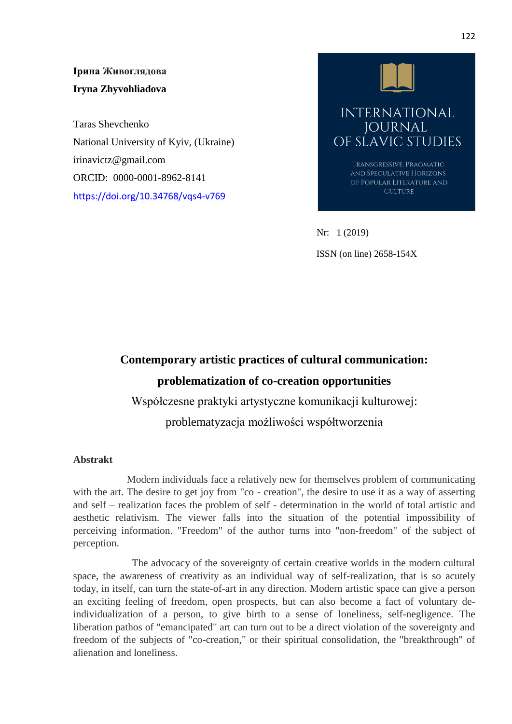**Ірина Живоглядова Iryna Zhyvohliadova**

Taras Shevchenko National University of Kyiv, (Ukraine) irinavictz@gmail.com ORCID: [0000-0001-8962-8141](https://orcid.org/0000-0001-8962-8141)  <https://doi.org/10.34768/vqs4-v769>



Nr: 1 (2019) ISSN (on line) 2658-154X

## **Contemporary artistic practices of cultural communication: problematization of co-creation opportunities**

Współczesne praktyki artystyczne komunikacji kulturowej:

problematyzacja możliwości współtworzenia

## **Abstrakt**

 Modern individuals face a relatively new for themselves problem of communicating with the art. The desire to get joy from "co - creation", the desire to use it as a way of asserting and self – realization faces the problem of self - determination in the world of total artistic and aesthetic relativism. The viewer falls into the situation of the potential impossibility of perceiving information. "Freedom" of the author turns into "non-freedom" of the subject of perception.

 The advocacy of the sovereignty of certain creative worlds in the modern cultural space, the awareness of creativity as an individual way of self-realization, that is so acutely today, in itself, can turn the state-of-art in any direction. Modern artistic space can give a person an exciting feeling of freedom, open prospects, but can also become a fact of voluntary deindividualization of a person, to give birth to a sense of loneliness, self-negligence. The liberation pathos of "emancipated" art can turn out to be a direct violation of the sovereignty and freedom of the subjects of "co-creation," or their spiritual consolidation, the "breakthrough" of alienation and loneliness.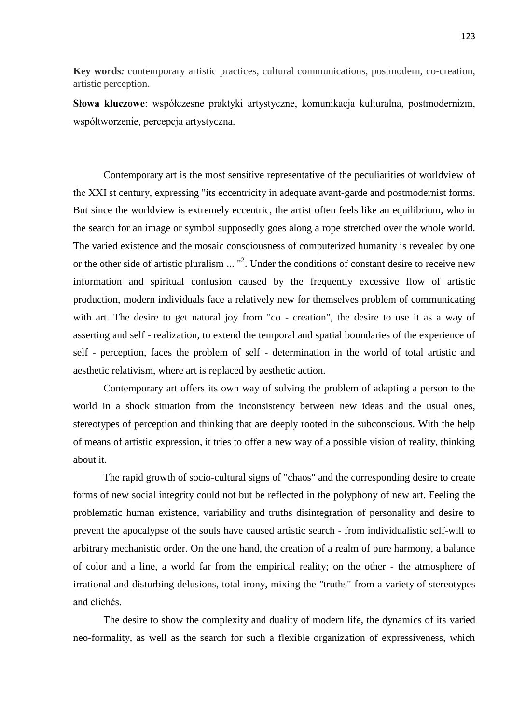**Key words***:* contemporary artistic practices, cultural communications, postmodern, co-creation, artistic perception.

**Słowa kluczowe**: współczesne praktyki artystyczne, komunikacja kulturalna, postmodernizm, współtworzenie, percepcja artystyczna.

Contemporary art is the most sensitive representative of the peculiarities of worldview of the ХХІ st century, expressing "its eccentricity in adequate avant-garde and postmodernist forms. But since the worldview is extremely eccentric, the artist often feels like an equilibrium, who in the search for an image or symbol supposedly goes along a rope stretched over the whole world. The varied existence and the mosaic consciousness of computerized humanity is revealed by one or the other side of artistic pluralism  $\ldots$  "<sup>2</sup>. Under the conditions of constant desire to receive new information and spiritual confusion caused by the frequently excessive flow of artistic production, modern individuals face a relatively new for themselves problem of communicating with art. The desire to get natural joy from "co - creation", the desire to use it as a way of asserting and self - realization, to extend the temporal and spatial boundaries of the experience of self - perception, faces the problem of self - determination in the world of total artistic and aesthetic relativism, where art is replaced by aesthetic action.

Contemporary art offers its own way of solving the problem of adapting a person to the world in a shock situation from the inconsistency between new ideas and the usual ones, stereotypes of perception and thinking that are deeply rooted in the subconscious. With the help of means of artistic expression, it tries to offer a new way of a possible vision of reality, thinking about it.

The rapid growth of socio-cultural signs of "chaos" and the corresponding desire to create forms of new social integrity could not but be reflected in the polyphony of new art. Feeling the problematic human existence, variability and truths disintegration of personality and desire to prevent the apocalypse of the souls have caused artistic search - from individualistic self-will to arbitrary mechanistic order. On the one hand, the creation of a realm of pure harmony, a balance of color and a line, a world far from the empirical reality; on the other - the atmosphere of irrational and disturbing delusions, total irony, mixing the "truths" from a variety of stereotypes and clichés.

The desire to show the complexity and duality of modern life, the dynamics of its varied neo-formality, as well as the search for such a flexible organization of expressiveness, which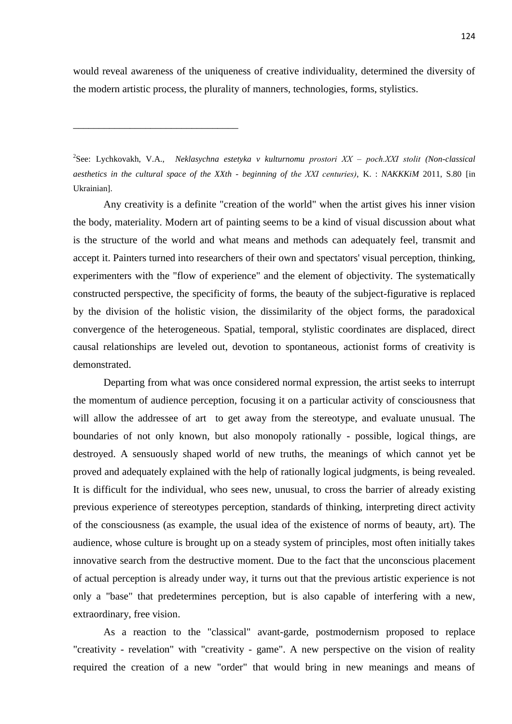would reveal awareness of the uniqueness of creative individuality, determined the diversity of the modern artistic process, the plurality of manners, technologies, forms, stylistics.

\_\_\_\_\_\_\_\_\_\_\_\_\_\_\_\_\_\_\_\_\_\_\_\_\_\_\_\_\_\_\_\_

2 See: Lychkovakh, V.A., *Neklasychna estetyka v kulturnomu prostori ХХ – poch.ХХІ stolit (Non-classical aesthetics in the cultural space of the XXth - beginning of the ХХІ centuries)*, K. : *NAKKKiM* 2011, S.80 [in Ukrainian].

Any creativity is a definite "creation of the world" when the artist gives his inner vision the body, materiality. Modern art of painting seems to be a kind of visual discussion about what is the structure of the world and what means and methods can adequately feel, transmit and accept it. Painters turned into researchers of their own and spectators' visual perception, thinking, experimenters with the "flow of experience" and the element of objectivity. The systematically constructed perspective, the specificity of forms, the beauty of the subject-figurative is replaced by the division of the holistic vision, the dissimilarity of the object forms, the paradoxical convergence of the heterogeneous. Spatial, temporal, stylistic coordinates are displaced, direct causal relationships are leveled out, devotion to spontaneous, actionist forms of creativity is demonstrated.

Departing from what was once considered normal expression, the artist seeks to interrupt the momentum of audience perception, focusing it on a particular activity of consciousness that will allow the addressee of art to get away from the stereotype, and evaluate unusual. The boundaries of not only known, but also monopoly rationally - possible, logical things, are destroyed. A sensuously shaped world of new truths, the meanings of which cannot yet be proved and adequately explained with the help of rationally logical judgments, is being revealed. It is difficult for the individual, who sees new, unusual, to cross the barrier of already existing previous experience of stereotypes perception, standards of thinking, interpreting direct activity of the consciousness (as example, the usual idea of the existence of norms of beauty, art). The audience, whose culture is brought up on a steady system of principles, most often initially takes innovative search from the destructive moment. Due to the fact that the unconscious placement of actual perception is already under way, it turns out that the previous artistic experience is not only a "base" that predetermines perception, but is also capable of interfering with a new, extraordinary, free vision.

As a reaction to the "classical" avant-garde, postmodernism proposed to replace "creativity - revelation" with "creativity - game". A new perspective on the vision of reality required the creation of a new "order" that would bring in new meanings and means of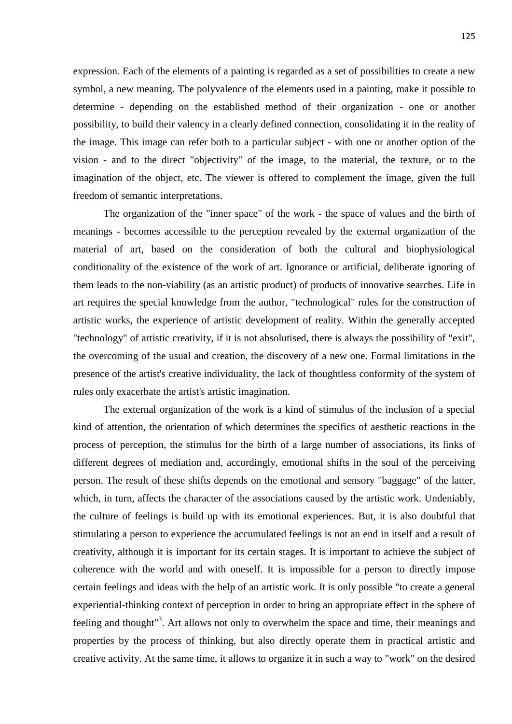expression. Each of the elements of a painting is regarded as a set of possibilities to create a new symbol, a new meaning. The polyvalence of the elements used in a painting, make it possible to determine - depending on the established method of their organization - one or another possibility, to build their valency in a clearly defined connection, consolidating it in the reality of the image. This image can refer both to a particular subject - with one or another option of the vision - and to the direct "objectivity" of the image, to the material, the texture, or to the imagination of the object, etc. The viewer is offered to complement the image, given the full freedom of semantic interpretations.

The organization of the "inner space" of the work - the space of values and the birth of meanings - becomes accessible to the perception revealed by the external organization of the material of art, based on the consideration of both the cultural and biophysiological conditionality of the existence of the work of art. Ignorance or artificial, deliberate ignoring of them leads to the non-viability (as an artistic product) of products of innovative searches. Life in art requires the special knowledge from the author, "technological" rules for the construction of artistic works, the experience of artistic development of reality. Within the generally accepted "technology" of artistic creativity, if it is not absolutised, there is always the possibility of "exit", the overcoming of the usual and creation, the discovery of a new one. Formal limitations in the presence of the artist's creative individuality, the lack of thoughtless conformity of the system of rules only exacerbate the artist's artistic imagination.

The external organization of the work is a kind of stimulus of the inclusion of a special kind of attention, the orientation of which determines the specifics of aesthetic reactions in the process of perception, the stimulus for the birth of a large number of associations, its links of different degrees of mediation and, accordingly, emotional shifts in the soul of the perceiving person. The result of these shifts depends on the emotional and sensory "baggage" of the latter, which, in turn, affects the character of the associations caused by the artistic work. Undeniably, the culture of feelings is build up with its emotional experiences. But, it is also doubtful that stimulating a person to experience the accumulated feelings is not an end in itself and a result of creativity, although it is important for its certain stages. It is important to achieve the subject of coherence with the world and with oneself. It is impossible for a person to directly impose certain feelings and ideas with the help of an artistic work. It is only possible "to create a general experiential-thinking context of perception in order to bring an appropriate effect in the sphere of feeling and thought<sup>13</sup>. Art allows not only to overwhelm the space and time, their meanings and properties by the process of thinking, but also directly operate them in practical artistic and creative activity. At the same time, it allows to organize it in such a way to "work" on the desired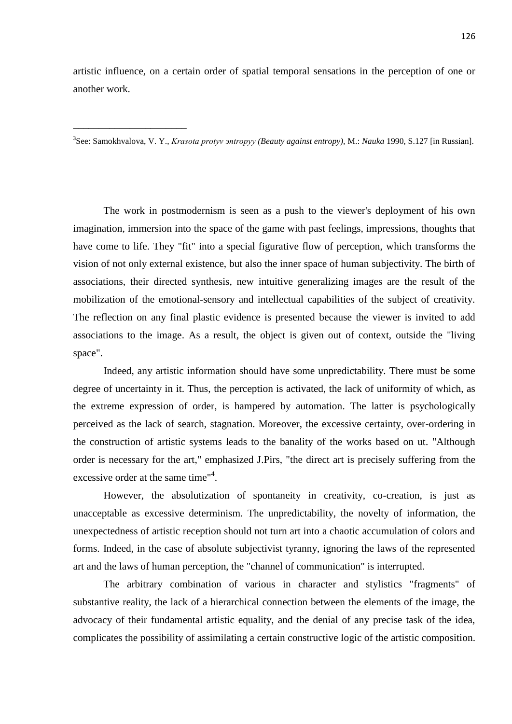artistic influence, on a certain order of spatial temporal sensations in the perception of one or another work.

3 See: Samokhvalova, V. Y., *Krasota protyv эntropyy (Beauty against entropy),* M.: *Nauka* 1990, S.127 [in Russian].

\_\_\_\_\_\_\_\_\_\_\_\_\_\_\_\_\_\_\_\_\_\_

The work in postmodernism is seen as a push to the viewer's deployment of his own imagination, immersion into the space of the game with past feelings, impressions, thoughts that have come to life. They "fit" into a special figurative flow of perception, which transforms the vision of not only external existence, but also the inner space of human subjectivity. The birth of associations, their directed synthesis, new intuitive generalizing images are the result of the mobilization of the emotional-sensory and intellectual capabilities of the subject of creativity. The reflection on any final plastic evidence is presented because the viewer is invited to add associations to the image. As a result, the object is given out of context, outside the "living space".

Indeed, any artistic information should have some unpredictability. There must be some degree of uncertainty in it. Thus, the perception is activated, the lack of uniformity of which, as the extreme expression of order, is hampered by automation. The latter is psychologically perceived as the lack of search, stagnation. Moreover, the excessive certainty, over-ordering in the construction of artistic systems leads to the banality of the works based on ut. "Although order is necessary for the art," emphasized J.Pirs, "the direct art is precisely suffering from the excessive order at the same time"<sup>4</sup>.

However, the absolutization of spontaneity in creativity, co-creation, is just as unacceptable as excessive determinism. The unpredictability, the novelty of information, the unexpectedness of artistic reception should not turn art into a chaotic accumulation of colors and forms. Indeed, in the case of absolute subjectivist tyranny, ignoring the laws of the represented art and the laws of human perception, the "channel of communication" is interrupted.

The arbitrary combination of various in character and stylistics "fragments" of substantive reality, the lack of a hierarchical connection between the elements of the image, the advocacy of their fundamental artistic equality, and the denial of any precise task of the idea, complicates the possibility of assimilating a certain constructive logic of the artistic composition.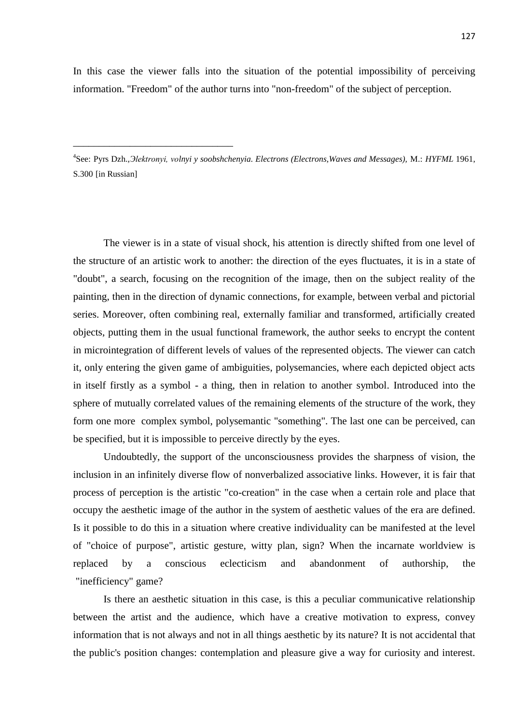In this case the viewer falls into the situation of the potential impossibility of perceiving information. "Freedom" of the author turns into "non-freedom" of the subject of perception.

4 See: Pyrs Dzh.,*Эlektronyi, volnyi y soobshchenyia. Electrons (Electrons,Waves and Messages),* M.: *HYFML* 1961, S.300 [in Russian]

\_\_\_\_\_\_\_\_\_\_\_\_\_\_\_\_\_\_\_\_\_\_\_\_\_\_\_\_\_\_\_

The viewer is in a state of visual shock, his attention is directly shifted from one level of the structure of an artistic work to another: the direction of the eyes fluctuates, it is in a state of "doubt", a search, focusing on the recognition of the image, then on the subject reality of the painting, then in the direction of dynamic connections, for example, between verbal and pictorial series. Moreover, often combining real, externally familiar and transformed, artificially created objects, putting them in the usual functional framework, the author seeks to encrypt the content in microintegration of different levels of values of the represented objects. The viewer can catch it, only entering the given game of ambiguities, polysemancies, where each depicted object acts in itself firstly as a symbol - a thing, then in relation to another symbol. Introduced into the sphere of mutually correlated values of the remaining elements of the structure of the work, they form one more complex symbol, polysemantic "something". The last one can be perceived, can be specified, but it is impossible to perceive directly by the eyes.

Undoubtedly, the support of the unconsciousness provides the sharpness of vision, the inclusion in an infinitely diverse flow of nonverbalized associative links. However, it is fair that process of perception is the artistic "co-creation" in the case when a certain role and place that occupy the aesthetic image of the author in the system of aesthetic values of the era are defined. Is it possible to do this in a situation where creative individuality can be manifested at the level of "choice of purpose", artistic gesture, witty plan, sign? When the incarnate worldview is replaced by a conscious eclecticism and abandonment of authorship, the "inefficiency" game?

Is there an aesthetic situation in this case, is this a peculiar communicative relationship between the artist and the audience, which have a creative motivation to express, convey information that is not always and not in all things aesthetic by its nature? It is not accidental that the public's position changes: contemplation and pleasure give a way for curiosity and interest.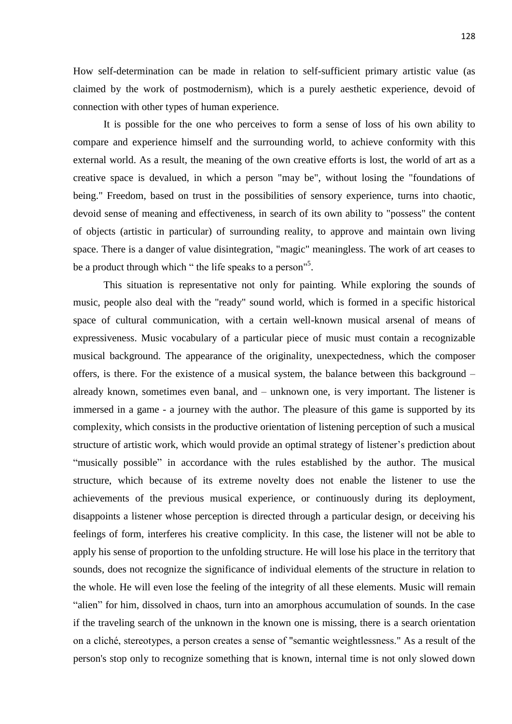How self-determination can be made in relation to self-sufficient primary artistic value (as claimed by the work of postmodernism), which is a purely aesthetic experience, devoid of connection with other types of human experience.

It is possible for the one who perceives to form a sense of loss of his own ability to compare and experience himself and the surrounding world, to achieve conformity with this external world. As a result, the meaning of the own creative efforts is lost, the world of art as a creative space is devalued, in which a person "may be", without losing the "foundations of being." Freedom, based on trust in the possibilities of sensory experience, turns into chaotic, devoid sense of meaning and effectiveness, in search of its own ability to "possess" the content of objects (artistic in particular) of surrounding reality, to approve and maintain own living space. There is a danger of value disintegration, "magic" meaningless. The work of art ceases to be a product through which " the life speaks to a person"<sup>5</sup>.

This situation is representative not only for painting. While exploring the sounds of music, people also deal with the "ready" sound world, which is formed in a specific historical space of cultural communication, with a certain well-known musical arsenal of means of expressiveness. Music vocabulary of a particular piece of music must contain a recognizable musical background. The appearance of the originality, unexpectedness, which the composer offers, is there. For the existence of a musical system, the balance between this background – already known, sometimes even banal, and – unknown one, is very important. The listener is immersed in a game - a journey with the author. The pleasure of this game is supported by its complexity, which consists in the productive orientation of listening perception of such a musical structure of artistic work, which would provide an optimal strategy of listener's prediction about "musically possible" in accordance with the rules established by the author. The musical structure, which because of its extreme novelty does not enable the listener to use the achievements of the previous musical experience, or continuously during its deployment, disappoints a listener whose perception is directed through a particular design, or deceiving his feelings of form, interferes his creative complicity. In this case, the listener will not be able to apply his sense of proportion to the unfolding structure. He will lose his place in the territory that sounds, does not recognize the significance of individual elements of the structure in relation to the whole. He will even lose the feeling of the integrity of all these elements. Music will remain "alien" for him, dissolved in chaos, turn into an amorphous accumulation of sounds. In the case if the traveling search of the unknown in the known one is missing, there is a search orientation on a cliché, stereotypes, a person creates a sense of "semantic weightlessness." As a result of the person's stop only to recognize something that is known, internal time is not only slowed down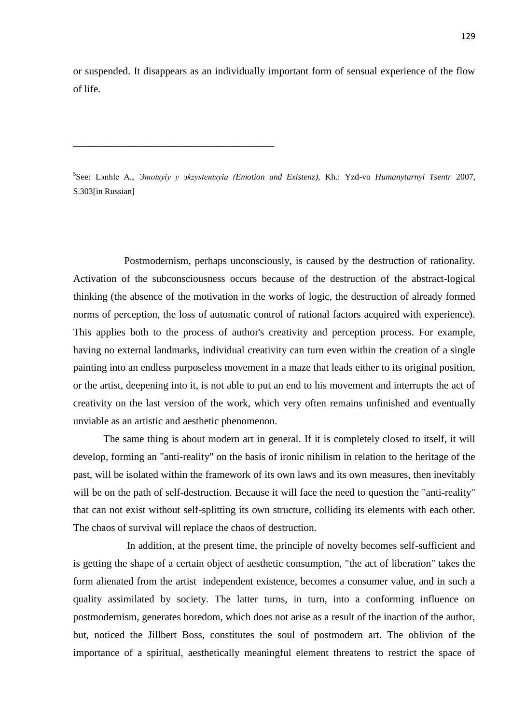or suspended. It disappears as an individually important form of sensual experience of the flow of life.

5 See: Lэnhle A., *Эmotsyiy y эkzystentsyia (Emotion und Existenz),* Kh.: Yzd-vo *Humanytarnyi Tsentr* 2007, S.303[in Russian]

\_\_\_\_\_\_\_\_\_\_\_\_\_\_\_\_\_\_\_\_\_\_\_\_\_\_\_\_\_\_\_\_\_\_\_\_\_\_\_

 Postmodernism, perhaps unconsciously, is caused by the destruction of rationality. Activation of the subconsciousness occurs because of the destruction of the abstract-logical thinking (the absence of the motivation in the works of logic, the destruction of already formed norms of perception, the loss of automatic control of rational factors acquired with experience). This applies both to the process of author's creativity and perception process. For example, having no external landmarks, individual creativity can turn even within the creation of a single painting into an endless purposeless movement in a maze that leads either to its original position, or the artist, deepening into it, is not able to put an end to his movement and interrupts the act of creativity on the last version of the work, which very often remains unfinished and eventually unviable as an artistic and aesthetic phenomenon.

The same thing is about modern art in general. If it is completely closed to itself, it will develop, forming an "anti-reality" on the basis of ironic nihilism in relation to the heritage of the past, will be isolated within the framework of its own laws and its own measures, then inevitably will be on the path of self-destruction. Because it will face the need to question the "anti-reality" that can not exist without self-splitting its own structure, colliding its elements with each other. The chaos of survival will replace the chaos of destruction.

 In addition, at the present time, the principle of novelty becomes self-sufficient and is getting the shape of a certain object of aesthetic consumption, "the act of liberation" takes the form alienated from the artist independent existence, becomes a consumer value, and in such a quality assimilated by society. The latter turns, in turn, into a conforming influence on postmodernism, generates boredom, which does not arise as a result of the inaction of the author, but, noticed the Jillbert Boss, constitutes the soul of postmodern art. The oblivion of the importance of a spiritual, aesthetically meaningful element threatens to restrict the space of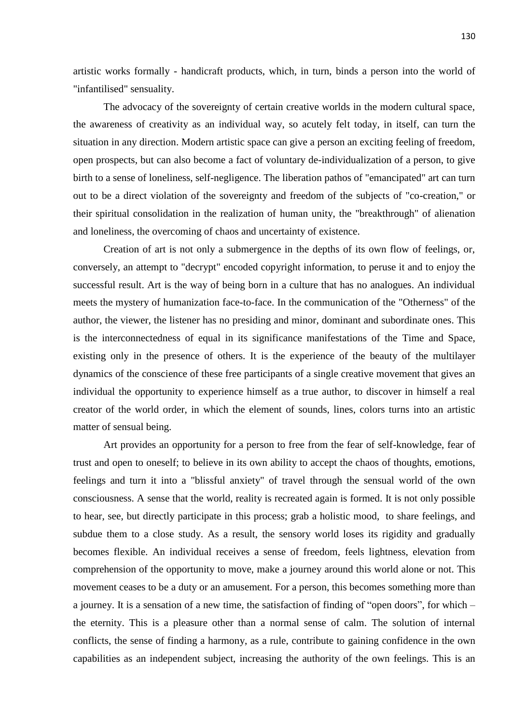artistic works formally - handicraft products, which, in turn, binds a person into the world of "infantilised" sensuality.

The advocacy of the sovereignty of certain creative worlds in the modern cultural space, the awareness of creativity as an individual way, so acutely felt today, in itself, can turn the situation in any direction. Modern artistic space can give a person an exciting feeling of freedom, open prospects, but can also become a fact of voluntary de-individualization of a person, to give birth to a sense of loneliness, self-negligence. The liberation pathos of "emancipated" art can turn out to be a direct violation of the sovereignty and freedom of the subjects of "co-creation," or their spiritual consolidation in the realization of human unity, the "breakthrough" of alienation and loneliness, the overcoming of chaos and uncertainty of existence.

Creation of art is not only a submergence in the depths of its own flow of feelings, or, conversely, an attempt to "decrypt" encoded copyright information, to peruse it and to enjoy the successful result. Art is the way of being born in a culture that has no analogues. An individual meets the mystery of humanization face-to-face. In the communication of the "Otherness" of the author, the viewer, the listener has no presiding and minor, dominant and subordinate ones. This is the interconnectedness of equal in its significance manifestations of the Time and Space, existing only in the presence of others. It is the experience of the beauty of the multilayer dynamics of the conscience of these free participants of a single creative movement that gives an individual the opportunity to experience himself as a true author, to discover in himself a real creator of the world order, in which the element of sounds, lines, colors turns into an artistic matter of sensual being.

Art provides an opportunity for a person to free from the fear of self-knowledge, fear of trust and open to oneself; to believe in its own ability to accept the chaos of thoughts, emotions, feelings and turn it into a "blissful anxiety" of travel through the sensual world of the own consciousness. A sense that the world, reality is recreated again is formed. It is not only possible to hear, see, but directly participate in this process; grab a holistic mood, to share feelings, and subdue them to a close study. As a result, the sensory world loses its rigidity and gradually becomes flexible. An individual receives a sense of freedom, feels lightness, elevation from comprehension of the opportunity to move, make a journey around this world alone or not. This movement ceases to be a duty or an amusement. For a person, this becomes something more than a journey. It is a sensation of a new time, the satisfaction of finding of "open doors", for which – the eternity. This is a pleasure other than a normal sense of calm. The solution of internal conflicts, the sense of finding a harmony, as a rule, contribute to gaining confidence in the own capabilities as an independent subject, increasing the authority of the own feelings. This is an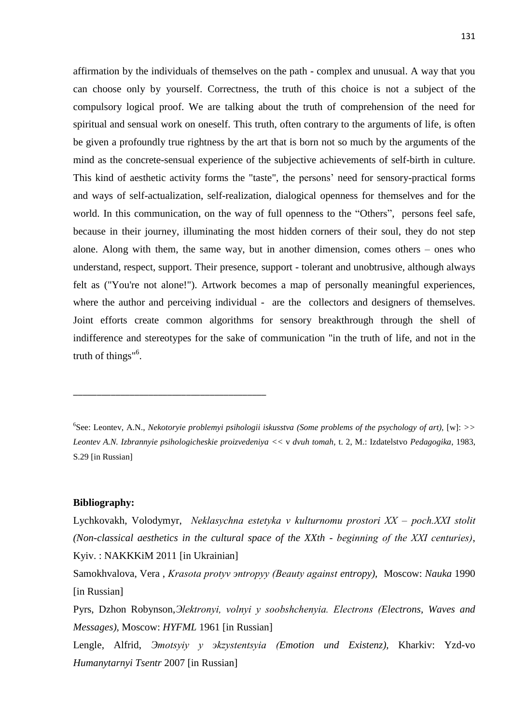affirmation by the individuals of themselves on the path - complex and unusual. A way that you can choose only by yourself. Correctness, the truth of this choice is not a subject of the compulsory logical proof. We are talking about the truth of comprehension of the need for spiritual and sensual work on oneself. This truth, often contrary to the arguments of life, is often be given a profoundly true rightness by the art that is born not so much by the arguments of the mind as the concrete-sensual experience of the subjective achievements of self-birth in culture. This kind of aesthetic activity forms the "taste", the persons' need for sensory-practical forms and ways of self-actualization, self-realization, dialogical openness for themselves and for the world. In this communication, on the way of full openness to the "Others", persons feel safe, because in their journey, illuminating the most hidden corners of their soul, they do not step alone. Along with them, the same way, but in another dimension, comes others – ones who understand, respect, support. Their presence, support - tolerant and unobtrusive, although always felt as ("You're not alone!"). Artwork becomes a map of personally meaningful experiences, where the author and perceiving individual - are the collectors and designers of themselves. Joint efforts create common algorithms for sensory breakthrough through the shell of indifference and stereotypes for the sake of communication "in the truth of life, and not in the truth of things" 6 .

## **Bibliography:**

\_\_\_\_\_\_\_\_\_\_\_\_\_\_\_\_\_\_\_\_\_\_\_\_\_\_\_\_\_\_\_\_\_\_\_\_\_\_\_\_\_

Lychkovakh, Volodymyr, *Neklasychna estetyka v kulturnomu prostori ХХ – poch.ХХІ stolit (Non-classical aesthetics in the cultural space of the XXth - beginning of the ХХІ centuries)*, Kyiv. : NAKKKiM 2011 [in Ukrainian]

Samokhvalova, Vera , *Krasota protyv эntropyy (Beauty against entropy),* Moscow: *Nauka* 1990 [in Russian]

Pyrs, Dzhon Robynson,*Эlektronyi, volnyi y soobshchenyia. Electrons (Electrons, Waves and Messages),* Moscow: *HYFML* 1961 [in Russian]

Lengle, Alfrid, *Эmotsyiy y эkzystentsyia (Emotion und Existenz),* Kharkiv: Yzd-vo *Humanytarnyi Tsentr* 2007 [in Russian]

<sup>6</sup> See: Leontev, A.N., *Nekotoryie problemyi psihologii iskusstva (Some problems of the psychology of art),* [w]: *>> Leontev A.N. Izbrannyie psihologicheskie proizvedeniya <<* v *dvuh tomah,* t. 2, M.: Izdatelstvo *Pedagogika*, 1983, S.29 [in Russian]